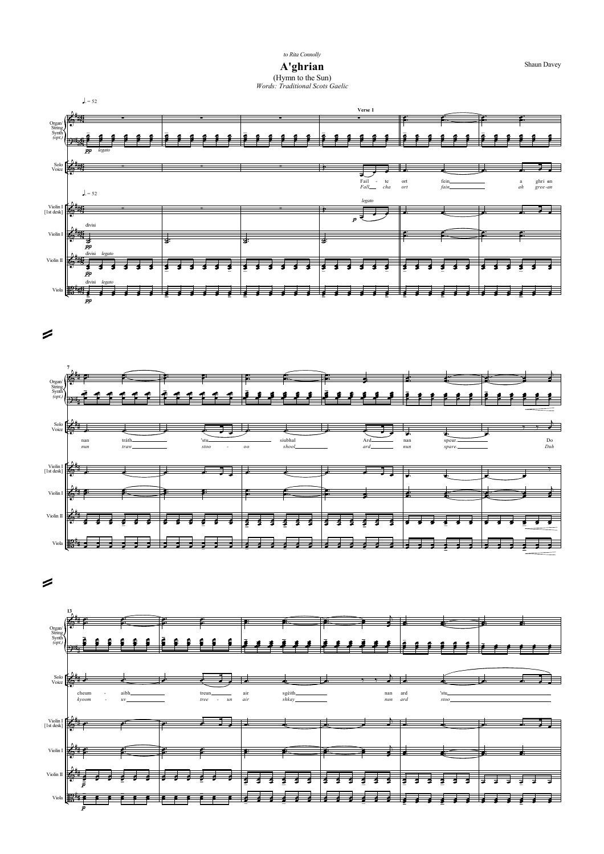*to Rita Connolly*

# **A'ghrian**

(Hymn to the Sun) *Words: Traditional Scots Gaelic*





 $\boldsymbol{z}$ 



Shaun Davey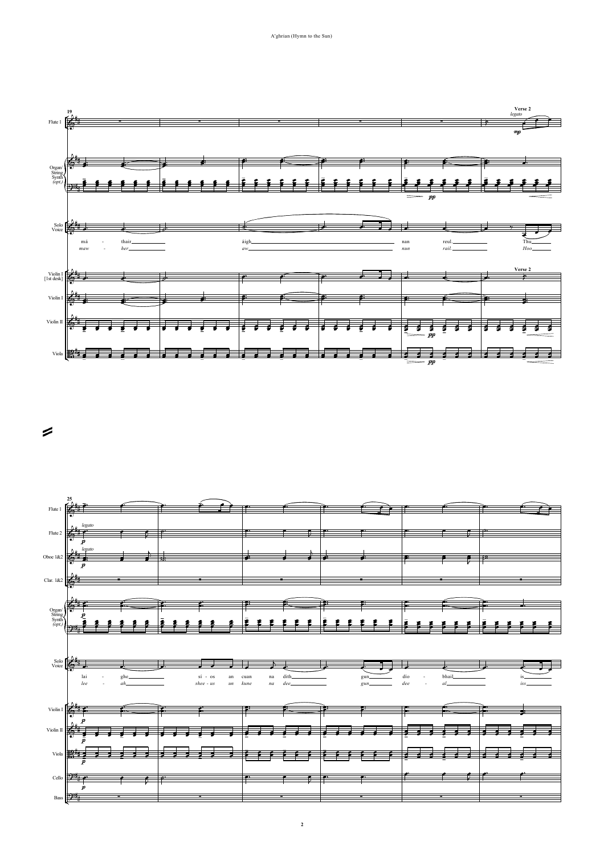



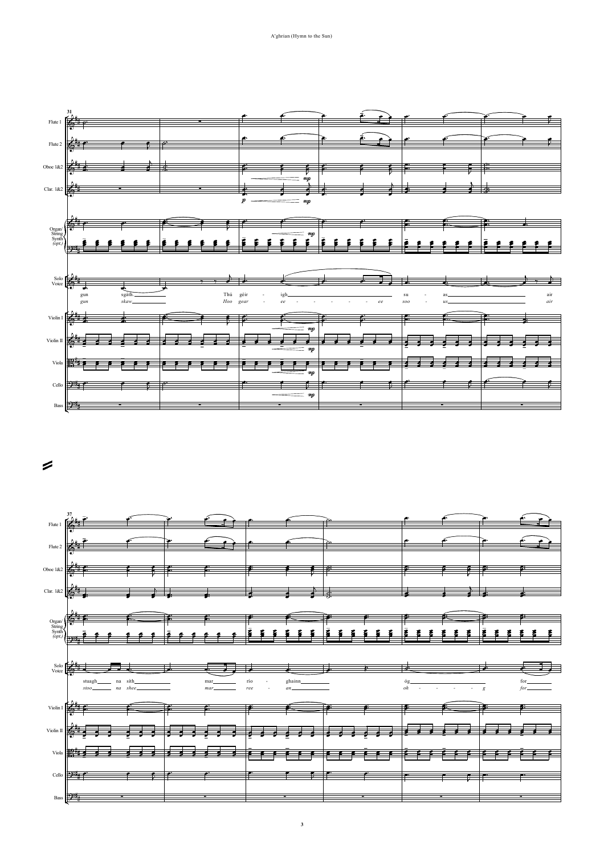

 $\boldsymbol{z}$ 



**3**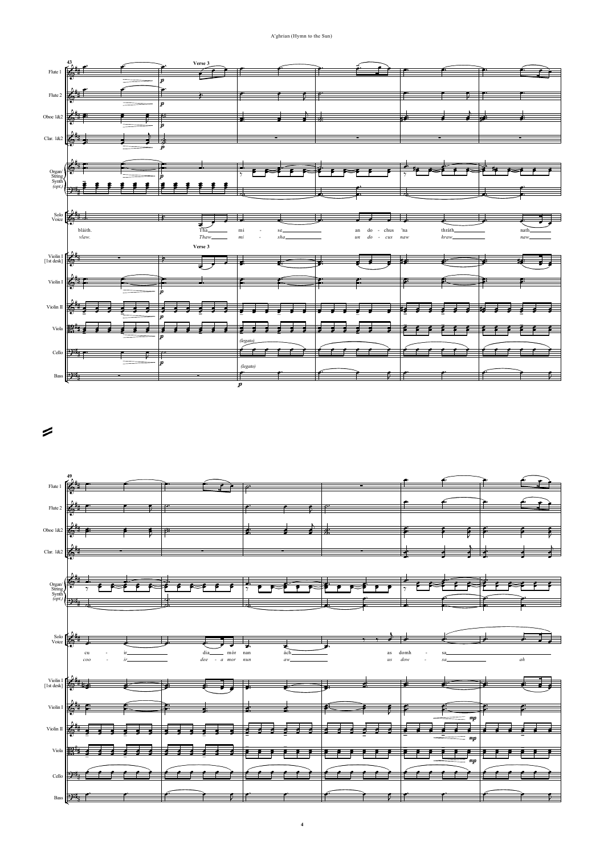

![](_page_3_Figure_2.jpeg)

![](_page_3_Figure_3.jpeg)

**4**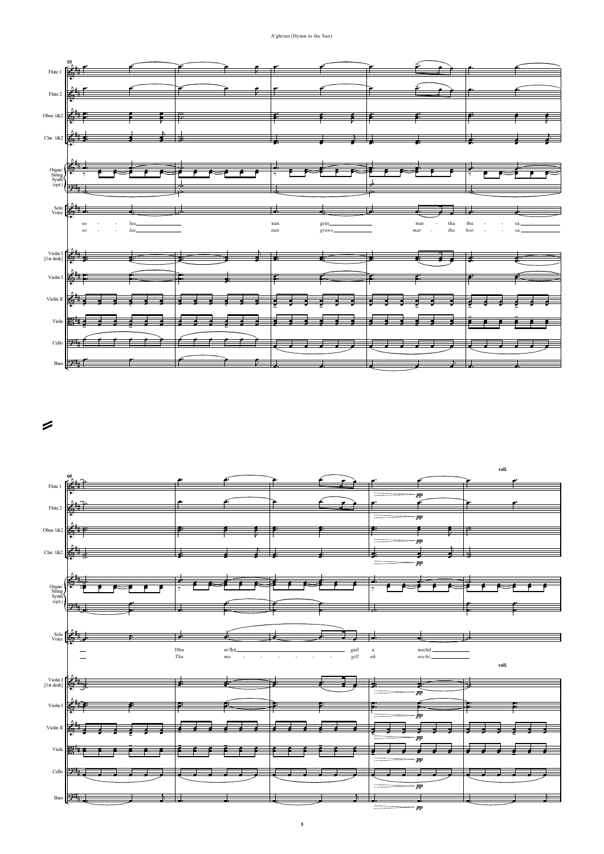![](_page_4_Figure_1.jpeg)

 $\boldsymbol{z}$ 

![](_page_4_Figure_3.jpeg)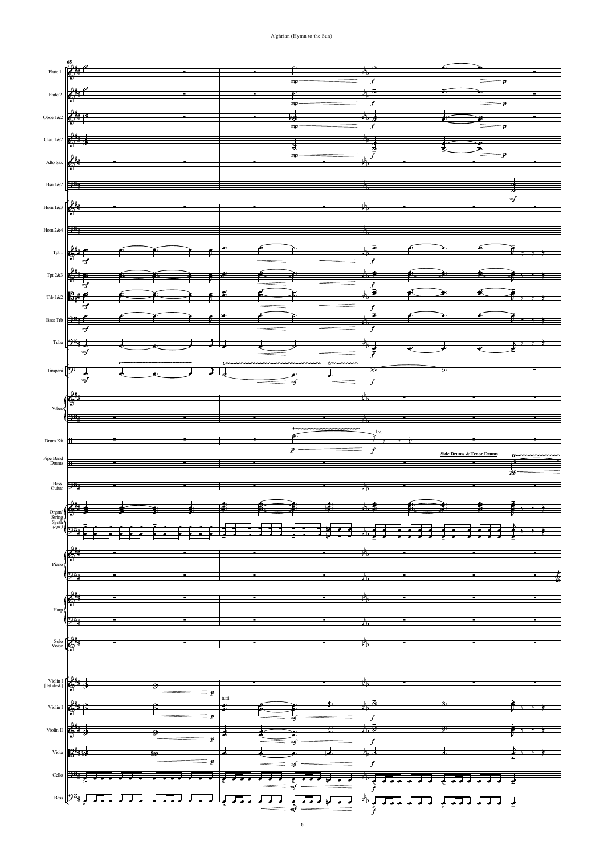![](_page_5_Figure_1.jpeg)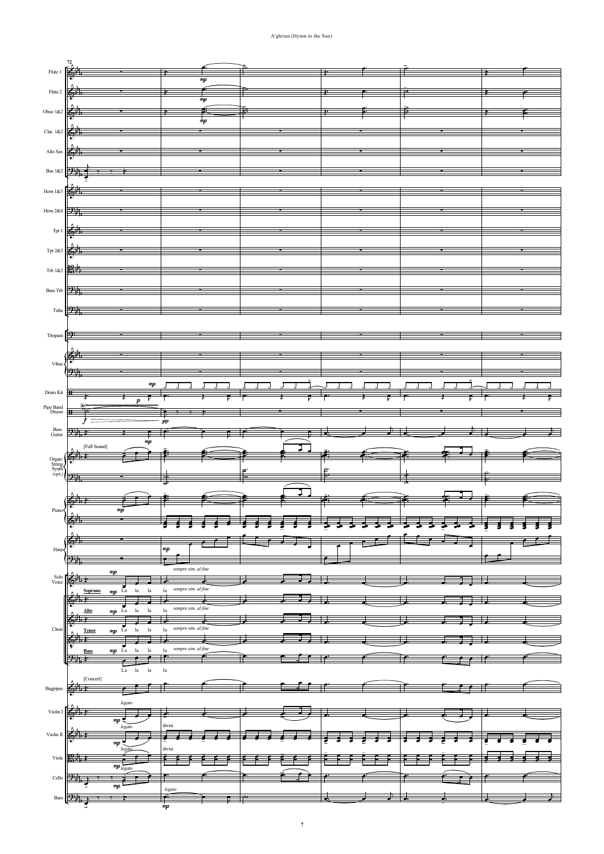| Flute 1                                                   |                                                                     |                                 |                                         |                  |               |   |             |             |             |             |                                                |     |
|-----------------------------------------------------------|---------------------------------------------------------------------|---------------------------------|-----------------------------------------|------------------|---------------|---|-------------|-------------|-------------|-------------|------------------------------------------------|-----|
|                                                           |                                                                     |                                 |                                         | $\it mp$         |               |   |             |             |             |             |                                                |     |
| Flute 2                                                   | Ćθ                                                                  |                                 |                                         |                  |               |   |             |             |             |             |                                                |     |
|                                                           |                                                                     |                                 |                                         | $_{\mathit{mp}}$ |               |   |             |             |             |             |                                                |     |
| Oboe $1&2$                                                | Ć.                                                                  |                                 |                                         | тp               |               |   |             |             |             |             |                                                |     |
| Clar. $1&82$                                              | 6                                                                   |                                 |                                         |                  |               |   |             |             |             |             |                                                |     |
|                                                           |                                                                     |                                 |                                         |                  |               |   |             |             |             |             |                                                |     |
| Alto Sax                                                  | ☞                                                                   |                                 |                                         |                  |               |   |             |             |             |             |                                                |     |
| Bsn 1&2                                                   | うち                                                                  |                                 |                                         |                  |               |   |             |             |             |             |                                                |     |
|                                                           |                                                                     |                                 |                                         |                  |               |   |             |             |             |             |                                                |     |
| Hom 1&3                                                   | 64                                                                  |                                 |                                         |                  |               |   |             |             |             |             |                                                |     |
|                                                           |                                                                     |                                 |                                         |                  |               |   |             |             |             |             |                                                |     |
| Hom 2&4                                                   | 吵                                                                   |                                 |                                         |                  |               |   |             |             |             |             |                                                |     |
| $\operatorname{Tpt} 1$                                    | 6                                                                   |                                 |                                         |                  |               |   |             |             |             |             |                                                |     |
|                                                           |                                                                     |                                 |                                         |                  |               |   |             |             |             |             |                                                |     |
| Tpt 2&3                                                   | ♠                                                                   |                                 |                                         |                  |               |   |             |             |             |             |                                                |     |
| Trb 1&2                                                   | $\mathbb{B}^+$                                                      |                                 |                                         |                  |               |   |             |             |             |             |                                                |     |
|                                                           |                                                                     |                                 |                                         |                  |               |   |             |             |             |             |                                                |     |
| <b>Bass Trb</b>                                           | $2\frac{1}{2}$                                                      |                                 |                                         |                  |               |   |             |             |             |             |                                                |     |
| Tuba                                                      | ジナ                                                                  |                                 |                                         |                  |               |   |             |             |             |             |                                                |     |
|                                                           |                                                                     |                                 |                                         |                  |               |   |             |             |             |             |                                                |     |
| Timpani                                                   | ヺ                                                                   |                                 |                                         |                  |               |   |             |             |             |             |                                                |     |
|                                                           |                                                                     |                                 |                                         |                  |               |   |             |             |             |             |                                                |     |
|                                                           | €                                                                   |                                 |                                         |                  |               |   |             |             |             |             |                                                |     |
| Vibes                                                     | $2\pm$                                                              |                                 |                                         |                  |               |   |             |             |             |             |                                                |     |
|                                                           |                                                                     | $\eta p$                        |                                         |                  |               |   |             |             |             |             |                                                |     |
| Drum Kit                                                  | 旺                                                                   | $\boldsymbol{p}$                |                                         |                  |               |   |             |             |             |             |                                                |     |
| Pipe Band<br>Drums                                        | Œ                                                                   |                                 |                                         |                  |               |   |             |             |             |             |                                                |     |
|                                                           |                                                                     |                                 | pp                                      |                  |               |   |             |             |             |             |                                                |     |
| $\begin{array}{c}\text{Bass} \\ \text{Guitar}\end{array}$ | うず                                                                  |                                 |                                         |                  |               |   |             |             |             |             |                                                |     |
|                                                           |                                                                     |                                 |                                         |                  |               |   |             |             |             |             |                                                |     |
|                                                           | [Full Sound]                                                        | $_{mp}$                         |                                         |                  |               | コ |             |             |             |             |                                                |     |
|                                                           |                                                                     |                                 |                                         |                  |               |   |             |             |             |             |                                                |     |
|                                                           |                                                                     |                                 |                                         |                  |               |   | Ê           |             |             |             |                                                |     |
| Organ/<br>String<br>Synth<br>(opt.)                       | Đ                                                                   |                                 |                                         |                  |               |   |             |             |             |             |                                                |     |
|                                                           | ☞                                                                   |                                 |                                         |                  |               |   |             |             |             |             |                                                |     |
| Piano                                                     |                                                                     | $_{\it mp}$                     |                                         |                  |               |   |             |             |             |             |                                                |     |
|                                                           |                                                                     |                                 | 컄                                       |                  | す             |   | ┺<br>s<br>₹ | ₹<br>t<br>÷ | ₹<br>₹<br>₹ | ≢<br>≢<br>₹ | ⅎ<br>$\frac{1}{2}$ $\frac{1}{2}$ $\frac{1}{2}$ | र र |
|                                                           | (今年                                                                 |                                 |                                         |                  |               |   |             | Ŧ           | ≁           |             |                                                |     |
| Harp                                                      | ≪∗                                                                  |                                 | mp                                      |                  |               |   |             |             |             |             |                                                |     |
|                                                           | ファ                                                                  |                                 |                                         |                  |               |   |             |             |             |             |                                                |     |
|                                                           | $\it mp$                                                            |                                 | sempre sim. al fine                     |                  |               |   |             |             |             |             |                                                |     |
| $\frac{\text{Solo}}{\text{Voice}}$                        | $\frac{1}{2}$<br>Soprano                                            | 1a<br>la                        | sempre sim. al fine<br>la               |                  |               |   |             |             |             |             | ∸                                              |     |
|                                                           |                                                                     | $\frac{1}{mp}$ La               |                                         |                  |               |   |             |             |             |             |                                                |     |
|                                                           | $\frac{s}{\sqrt{\frac{1}{s}}}\frac{s}{\sqrt{\frac{1}{s}}}}$<br>Alto | $\frac{mp}{ }$ La<br>la<br>la   | sempre sim. al fine<br>la               |                  |               | ◢ |             |             |             |             |                                                |     |
| ${\rm Choir}$                                             | $\frac{2}{\sqrt{2}}$<br><b>Tenor</b>                                | la                              | sempre sim. al fine<br>$_{\rm la}$      |                  |               |   |             |             |             |             |                                                |     |
|                                                           |                                                                     | $mp$ La la                      |                                         |                  |               |   |             |             |             |             |                                                |     |
|                                                           | $\frac{1}{\sqrt{\frac{1}{\sqrt{1+\frac{1}{2}}}}}}$<br><b>Bass</b>   | $mp$ La<br>la<br>la<br>×        | sempre sim. al fine<br>$_{\rm la}$<br>r |                  |               |   |             |             |             |             |                                                |     |
|                                                           | ジナキ                                                                 | $\rm La$ $\rm Ia$ $\rm Ia$      | $1\mathrm{a}$                           |                  |               |   |             |             |             |             |                                                |     |
|                                                           | [Concert]                                                           |                                 |                                         |                  |               |   |             |             |             |             |                                                |     |
| $\label{eq:3} \textbf{Bag pipes}$                         | $\mathbb{S}^{p}$                                                    |                                 |                                         |                  |               |   |             |             |             | ╺           |                                                |     |
|                                                           |                                                                     | legato                          |                                         |                  |               |   |             |             |             |             |                                                |     |
| Violin I                                                  | $\mathbb{P}^{\mathbb{R}}$                                           | $mp =$                          |                                         |                  |               | ≢ | $\pm$       |             | J           | ÷           | $\pm$                                          |     |
| Violin II                                                 |                                                                     | legato                          | divisi                                  |                  | ⅎ<br>۰<br>- 1 | 4 |             |             |             |             |                                                |     |
|                                                           | ৡঌৼ                                                                 | $\frac{mp}{2}$                  | ŧ<br>divisi                             |                  |               |   | 匀           | ₹           | ,           | ₹<br>採      |                                                | ≢   |
| Viola                                                     | 勝吟む                                                                 | legato<br>₹                     |                                         |                  |               |   | ►           |             |             |             |                                                | ≠   |
|                                                           |                                                                     | $\overline{mp}_{\text{legato}}$ |                                         |                  |               |   |             |             |             |             |                                                |     |
| Cello                                                     | $\mathbb{Z}_{\mathbb{Z}}$                                           | $\it mp$                        |                                         |                  |               |   |             |             |             |             |                                                |     |
| $\rm{Bass}$                                               | $\left[\begin{smallmatrix} 2 & 1 \ 1 & 1 \end{smallmatrix}\right]$  | ÷                               | legato<br>┲<br>$\frac{1}{mp}$           | z                | ≖             |   |             |             | ÷           |             |                                                | ਵੈ⊟ |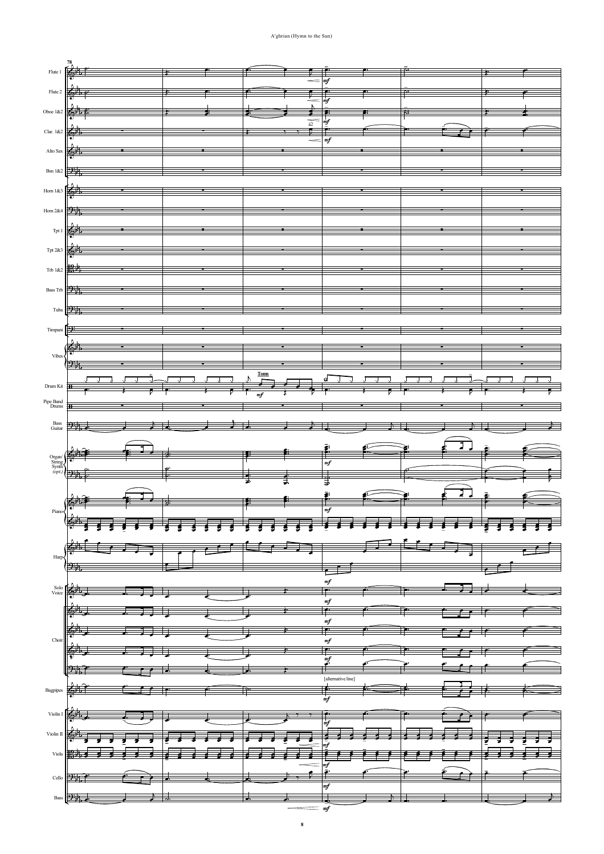![](_page_7_Figure_1.jpeg)

**8**